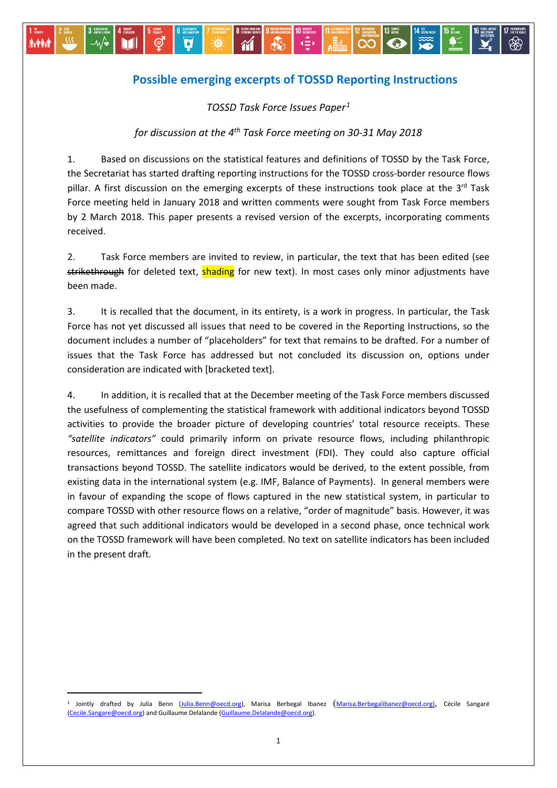## **Possible emerging excerpts of TOSSD Reporting Instructions**

∢≘≽

 $\epsilon$ 

*TOSSD Task Force Issues Paper[1](#page-0-0)*

 $\ddot{0}$ 

 $\bullet$ 

⊜

**Avinada** 

–∿⁄∙

*for discussion at the 4th Task Force meeting on 30-31 May 2018*

1. Based on discussions on the statistical features and definitions of TOSSD by the Task Force, the Secretariat has started drafting reporting instructions for the TOSSD cross-border resource flows pillar. A first discussion on the emerging excerpts of these instructions took place at the  $3^{rd}$  Task Force meeting held in January 2018 and written comments were sought from Task Force members by 2 March 2018. This paper presents a revised version of the excerpts, incorporating comments received.

2. Task Force members are invited to review, in particular, the text that has been edited (see strikethrough for deleted text, shading for new text). In most cases only minor adjustments have been made.

3. It is recalled that the document, in its entirety, is a work in progress. In particular, the Task Force has not yet discussed all issues that need to be covered in the Reporting Instructions, so the document includes a number of "placeholders" for text that remains to be drafted. For a number of issues that the Task Force has addressed but not concluded its discussion on, options under consideration are indicated with [bracketed text].

4. In addition, it is recalled that at the December meeting of the Task Force members discussed the usefulness of complementing the statistical framework with additional indicators beyond TOSSD activities to provide the broader picture of developing countries' total resource receipts. These *"satellite indicators"* could primarily inform on private resource flows, including philanthropic resources, remittances and foreign direct investment (FDI). They could also capture official transactions beyond TOSSD. The satellite indicators would be derived, to the extent possible, from existing data in the international system (e.g. IMF, Balance of Payments). In general members were in favour of expanding the scope of flows captured in the new statistical system, in particular to compare TOSSD with other resource flows on a relative, "order of magnitude" basis. However, it was agreed that such additional indicators would be developed in a second phase, once technical work on the TOSSD framework will have been completed. No text on satellite indicators has been included in the present draft.

<span id="page-0-0"></span> <sup>1</sup> Jointly drafted by Julia Benn [\(Julia.Benn@oecd.org\)](mailto:Julia.Benn@oecd.org), Marisa Berbegal Ibanez ([Marisa.Berbegalibanez@oecd.org\)](mailto:Marisa.Berbegalibanez@oecd.org), Cécile Sangaré [\(Cecile.Sangare@oecd.org\)](mailto:Cecile.Sangare@oecd.org) and Guillaume Delalande [\(Guillaume.Delalande@oecd.org\)](mailto:Guillaume.Delalande@oecd.org).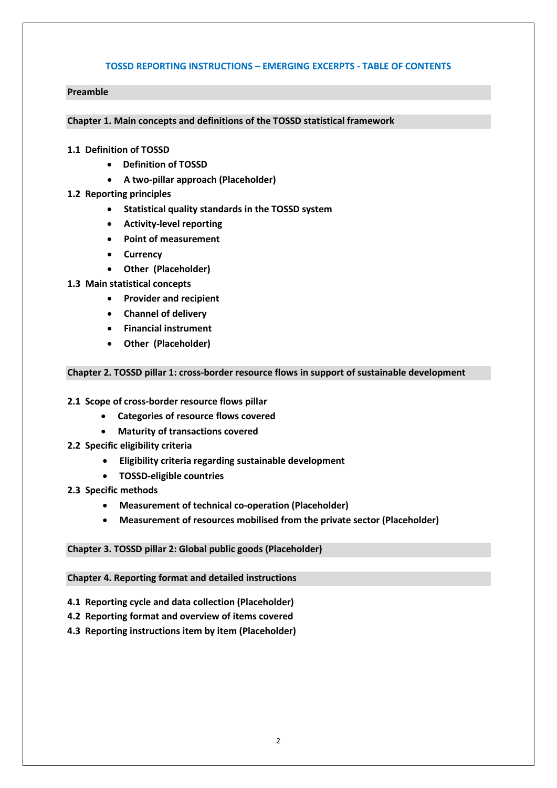#### **TOSSD REPORTING INSTRUCTIONS – EMERGING EXCERPTS - TABLE OF CONTENTS**

#### **Preamble**

**Chapter 1. Main concepts and definitions of the TOSSD statistical framework** 

- **1.1 Definition of TOSSD** 
	- **Definition of TOSSD**
	- **A two-pillar approach (Placeholder)**
- **1.2 Reporting principles** 
	- **Statistical quality standards in the TOSSD system**
	- **Activity-level reporting**
	- **Point of measurement**
	- **Currency**
	- **Other (Placeholder)**
- **1.3 Main statistical concepts** 
	- **Provider and recipient**
	- **Channel of delivery**
	- **Financial instrument**
	- **Other (Placeholder)**

#### **Chapter 2. TOSSD pillar 1: cross-border resource flows in support of sustainable development**

- **2.1 Scope of cross-border resource flows pillar** 
	- **Categories of resource flows covered**
	- **Maturity of transactions covered**
- **2.2 Specific eligibility criteria** 
	- **Eligibility criteria regarding sustainable development**
	- **TOSSD-eligible countries**
- **2.3 Specific methods**
	- **Measurement of technical co-operation (Placeholder)**
	- **Measurement of resources mobilised from the private sector (Placeholder)**

#### **Chapter 3. TOSSD pillar 2: Global public goods (Placeholder)**

#### **Chapter 4. Reporting format and detailed instructions**

- **4.1 Reporting cycle and data collection (Placeholder)**
- **4.2 Reporting format and overview of items covered**
- **4.3 Reporting instructions item by item (Placeholder)**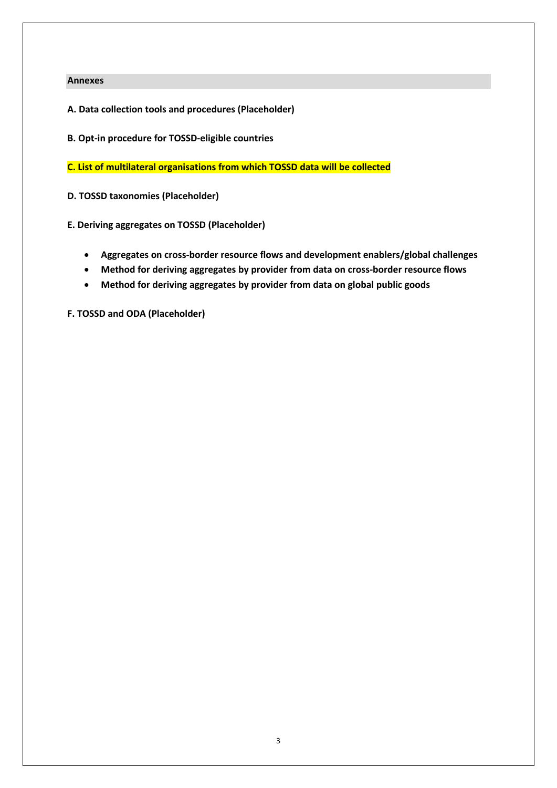#### **Annexes**

- **A. Data collection tools and procedures (Placeholder)**
- **B. Opt-in procedure for TOSSD-eligible countries**

**C. List of multilateral organisations from which TOSSD data will be collected**

**D. TOSSD taxonomies (Placeholder)**

**E. Deriving aggregates on TOSSD (Placeholder)**

- **Aggregates on cross-border resource flows and development enablers/global challenges**
- **Method for deriving aggregates by provider from data on cross-border resource flows**
- **Method for deriving aggregates by provider from data on global public goods**

**F. TOSSD and ODA (Placeholder)**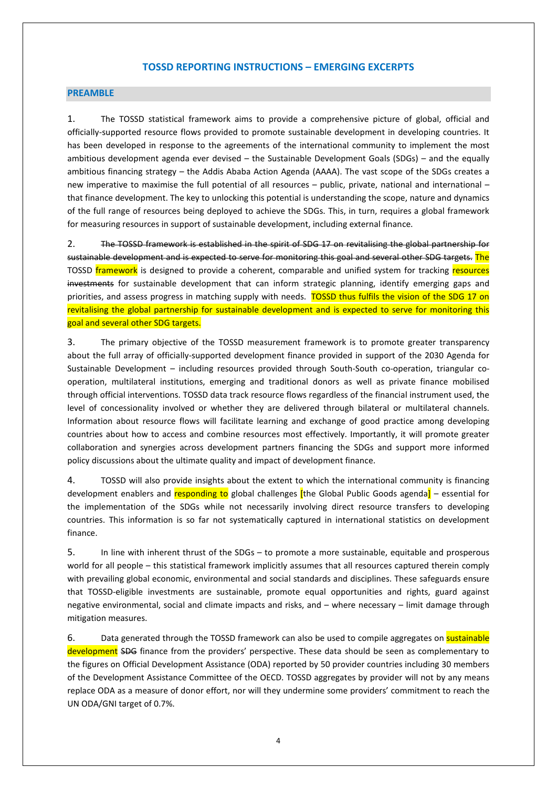#### **TOSSD REPORTING INSTRUCTIONS – EMERGING EXCERPTS**

#### **PREAMBLE**

1. The TOSSD statistical framework aims to provide a comprehensive picture of global, official and officially-supported resource flows provided to promote sustainable development in developing countries. It has been developed in response to the agreements of the international community to implement the most ambitious development agenda ever devised – the Sustainable Development Goals (SDGs) – and the equally ambitious financing strategy – the Addis Ababa Action Agenda (AAAA). The vast scope of the SDGs creates a new imperative to maximise the full potential of all resources – public, private, national and international – that finance development. The key to unlocking this potential is understanding the scope, nature and dynamics of the full range of resources being deployed to achieve the SDGs. This, in turn, requires a global framework for measuring resources in support of sustainable development, including external finance.

2. The TOSSD framework is established in the spirit of SDG 17 on revitalising the global partnership for sustainable development and is expected to serve for monitoring this goal and several other SDG targets. The TOSSD framework is designed to provide a coherent, comparable and unified system for tracking resources investments for sustainable development that can inform strategic planning, identify emerging gaps and priorities, and assess progress in matching supply with needs. TOSSD thus fulfils the vision of the SDG 17 on revitalising the global partnership for sustainable development and is expected to serve for monitoring this goal and several other SDG targets.

3. The primary objective of the TOSSD measurement framework is to promote greater transparency about the full array of officially-supported development finance provided in support of the 2030 Agenda for Sustainable Development – including resources provided through South-South co-operation, triangular cooperation, multilateral institutions, emerging and traditional donors as well as private finance mobilised through official interventions. TOSSD data track resource flows regardless of the financial instrument used, the level of concessionality involved or whether they are delivered through bilateral or multilateral channels. Information about resource flows will facilitate learning and exchange of good practice among developing countries about how to access and combine resources most effectively. Importantly, it will promote greater collaboration and synergies across development partners financing the SDGs and support more informed policy discussions about the ultimate quality and impact of development finance.

4. TOSSD will also provide insights about the extent to which the international community is financing development enablers and responding to global challenges *[the Global Public Goods agenda]* – essential for the implementation of the SDGs while not necessarily involving direct resource transfers to developing countries. This information is so far not systematically captured in international statistics on development finance.

5. In line with inherent thrust of the SDGs – to promote a more sustainable, equitable and prosperous world for all people – this statistical framework implicitly assumes that all resources captured therein comply with prevailing global economic, environmental and social standards and disciplines. These safeguards ensure that TOSSD-eligible investments are sustainable, promote equal opportunities and rights, guard against negative environmental, social and climate impacts and risks, and – where necessary – limit damage through mitigation measures.

6. Data generated through the TOSSD framework can also be used to compile aggregates on sustainable development SDG finance from the providers' perspective. These data should be seen as complementary to the figures on Official Development Assistance (ODA) reported by 50 provider countries including 30 members of the Development Assistance Committee of the OECD. TOSSD aggregates by provider will not by any means replace ODA as a measure of donor effort, nor will they undermine some providers' commitment to reach the UN ODA/GNI target of 0.7%.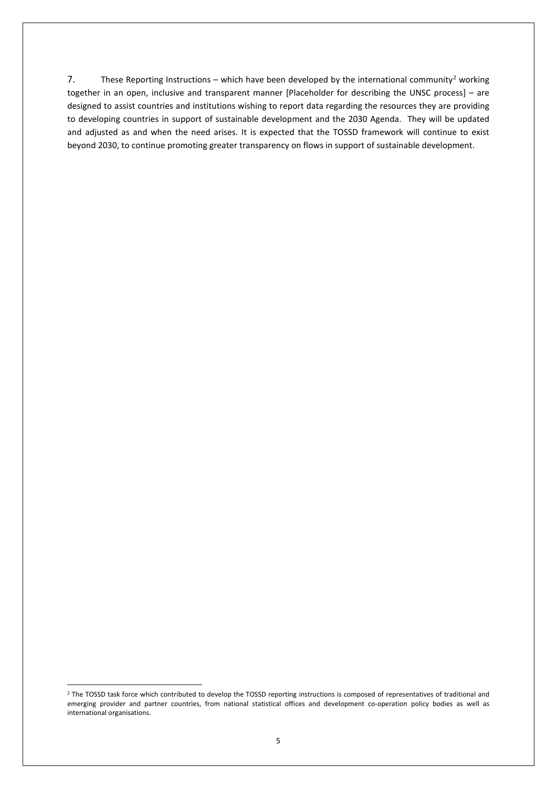7. These Reporting Instructions – which have been developed by the international community<sup>[2](#page-4-0)</sup> working together in an open, inclusive and transparent manner [Placeholder for describing the UNSC process] – are designed to assist countries and institutions wishing to report data regarding the resources they are providing to developing countries in support of sustainable development and the 2030 Agenda. They will be updated and adjusted as and when the need arises. It is expected that the TOSSD framework will continue to exist beyond 2030, to continue promoting greater transparency on flows in support of sustainable development.

<span id="page-4-0"></span><sup>&</sup>lt;sup>2</sup> The TOSSD task force which contributed to develop the TOSSD reporting instructions is composed of representatives of traditional and emerging provider and partner countries, from national statistical offices and development co-operation policy bodies as well as international organisations.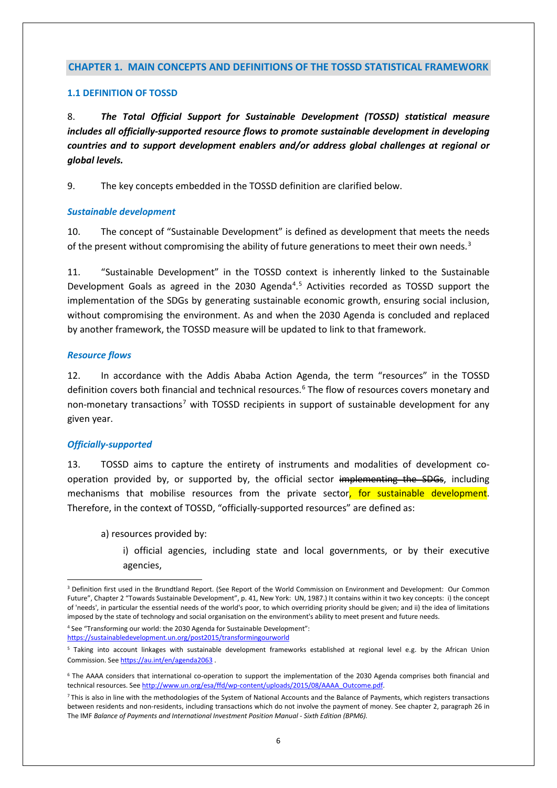#### **CHAPTER 1. MAIN CONCEPTS AND DEFINITIONS OF THE TOSSD STATISTICAL FRAMEWORK**

#### **1.1 DEFINITION OF TOSSD**

8. *The Total Official Support for Sustainable Development (TOSSD) statistical measure includes all officially-supported resource flows to promote sustainable development in developing countries and to support development enablers and/or address global challenges at regional or global levels.* 

9. The key concepts embedded in the TOSSD definition are clarified below.

#### *Sustainable development*

10. The concept of "Sustainable Development" is defined as development that meets the needs of the present without compromising the ability of future generations to meet their own needs.<sup>[3](#page-5-0)</sup>

11. "Sustainable Development" in the TOSSD context is inherently linked to the Sustainable Development Goals as agreed in the 2030 Agenda<sup>[4](#page-5-1)</sup>.<sup>[5](#page-5-2)</sup> Activities recorded as TOSSD support the implementation of the SDGs by generating sustainable economic growth, ensuring social inclusion, without compromising the environment. As and when the 2030 Agenda is concluded and replaced by another framework, the TOSSD measure will be updated to link to that framework.

#### *Resource flows*

12. In accordance with the Addis Ababa Action Agenda, the term "resources" in the TOSSD definition covers both financial and technical resources.<sup>[6](#page-5-3)</sup> The flow of resources covers monetary and non-monetary transactions<sup>[7](#page-5-4)</sup> with TOSSD recipients in support of sustainable development for any given year.

#### *Officially-supported*

13. TOSSD aims to capture the entirety of instruments and modalities of development cooperation provided by, or supported by, the official sector implementing the SDGs, including mechanisms that mobilise resources from the private sector, for sustainable development. Therefore, in the context of TOSSD, "officially-supported resources" are defined as:

a) resources provided by:

i) official agencies, including state and local governments, or by their executive agencies,

<span id="page-5-0"></span> <sup>3</sup> Definition first used in the Brundtland Report. (See Report of the World Commission on Environment and Development: Our Common Future", Chapter 2 "Towards Sustainable Development", p. 41, New York: UN, 1987.) It contains within it two key concepts: i) the concept of 'needs', in particular the essential needs of the world's poor, to which overriding priority should be given; and ii) the idea of limitations imposed by the state of technology and social organisation on the environment's ability to meet present and future needs.

<span id="page-5-1"></span><sup>4</sup> See "Transforming our world: the 2030 Agenda for Sustainable Development": <https://sustainabledevelopment.un.org/post2015/transformingourworld>

<span id="page-5-2"></span><sup>5</sup> Taking into account linkages with sustainable development frameworks established at regional level e.g. by the African Union Commission. Se[e https://au.int/en/agenda2063](https://au.int/en/agenda2063)

<span id="page-5-3"></span><sup>6</sup> The AAAA considers that international co-operation to support the implementation of the 2030 Agenda comprises both financial and technical resources. Se[e http://www.un.org/esa/ffd/wp-content/uploads/2015/08/AAAA\\_Outcome.pdf.](http://www.un.org/esa/ffd/wp-content/uploads/2015/08/AAAA_Outcome.pdf)

<span id="page-5-4"></span><sup>&</sup>lt;sup>7</sup> This is also in line with the methodologies of the System of National Accounts and the Balance of Payments, which registers transactions between residents and non-residents, including transactions which do not involve the payment of money. See chapter 2, paragraph 26 in The IMF *Balance of Payments and International Investment Position Manual - Sixth Edition (BPM6).*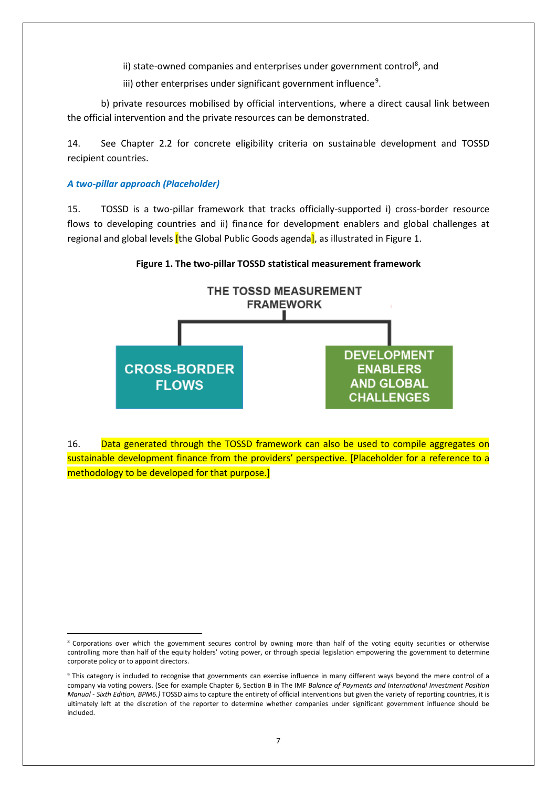ii) state-owned companies and enterprises under government control<sup>[8](#page-6-0)</sup>, and

iii) other enterprises under significant government influence<sup>[9](#page-6-1)</sup>.

b) private resources mobilised by official interventions, where a direct causal link between the official intervention and the private resources can be demonstrated.

14. See Chapter 2.2 for concrete eligibility criteria on sustainable development and TOSSD recipient countries.

#### *A two-pillar approach (Placeholder)*

15. TOSSD is a two-pillar framework that tracks officially-supported i) cross-border resource flows to developing countries and ii) finance for development enablers and global challenges at regional and global levels *[the Global Public Goods agenda]*, as illustrated in Figure 1.

**Figure 1. The two-pillar TOSSD statistical measurement framework**



16. Data generated through the TOSSD framework can also be used to compile aggregates on sustainable development finance from the providers' perspective. [Placeholder for a reference to a methodology to be developed for that purpose.]

<span id="page-6-0"></span><sup>&</sup>lt;sup>8</sup> Corporations over which the government secures control by owning more than half of the voting equity securities or otherwise controlling more than half of the equity holders' voting power, or through special legislation empowering the government to determine corporate policy or to appoint directors.

<span id="page-6-1"></span><sup>&</sup>lt;sup>9</sup> This category is included to recognise that governments can exercise influence in many different ways beyond the mere control of a company via voting powers. (See for example Chapter 6, Section B in The IMF *Balance of Payments and International Investment Position Manual - Sixth Edition, BPM6.)* TOSSD aims to capture the entirety of official interventions but given the variety of reporting countries, it is ultimately left at the discretion of the reporter to determine whether companies under significant government influence should be included.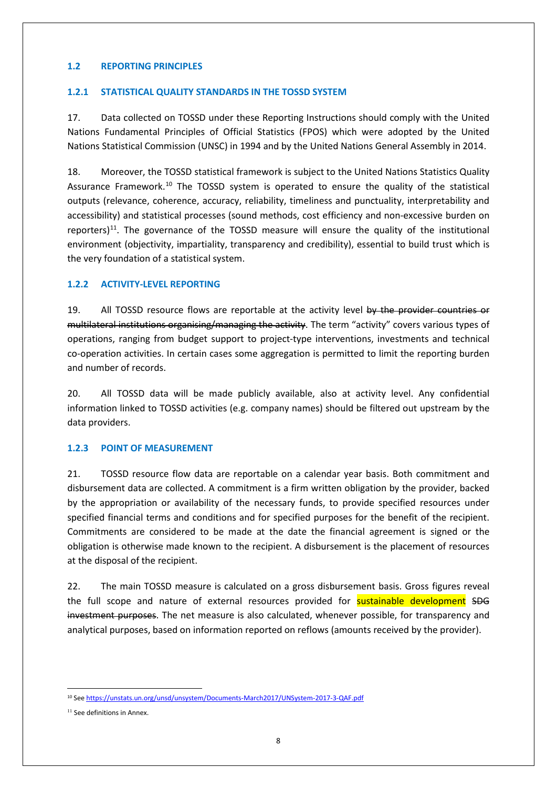#### **1.2 REPORTING PRINCIPLES**

#### **1.2.1 STATISTICAL QUALITY STANDARDS IN THE TOSSD SYSTEM**

17. Data collected on TOSSD under these Reporting Instructions should comply with the United Nations Fundamental Principles of Official Statistics (FPOS) which were adopted by the United Nations Statistical Commission (UNSC) in 1994 and by the United Nations General Assembly in 2014.

18. Moreover, the TOSSD statistical framework is subject to the United Nations Statistics Quality Assurance Framework.<sup>[10](#page-7-0)</sup> The TOSSD system is operated to ensure the quality of the statistical outputs (relevance, coherence, accuracy, reliability, timeliness and punctuality, interpretability and accessibility) and statistical processes (sound methods, cost efficiency and non-excessive burden on reporters)<sup>11</sup>. The governance of the TOSSD measure will ensure the quality of the institutional environment (objectivity, impartiality, transparency and credibility), essential to build trust which is the very foundation of a statistical system.

#### **1.2.2 ACTIVITY-LEVEL REPORTING**

19. All TOSSD resource flows are reportable at the activity level by the provider countries or multilateral institutions organising/managing the activity. The term "activity" covers various types of operations, ranging from budget support to project-type interventions, investments and technical co-operation activities. In certain cases some aggregation is permitted to limit the reporting burden and number of records.

20. All TOSSD data will be made publicly available, also at activity level. Any confidential information linked to TOSSD activities (e.g. company names) should be filtered out upstream by the data providers.

#### **1.2.3 POINT OF MEASUREMENT**

21. TOSSD resource flow data are reportable on a calendar year basis. Both commitment and disbursement data are collected. A commitment is a firm written obligation by the provider, backed by the appropriation or availability of the necessary funds, to provide specified resources under specified financial terms and conditions and for specified purposes for the benefit of the recipient. Commitments are considered to be made at the date the financial agreement is signed or the obligation is otherwise made known to the recipient. A disbursement is the placement of resources at the disposal of the recipient.

22. The main TOSSD measure is calculated on a gross disbursement basis. Gross figures reveal the full scope and nature of external resources provided for **sustainable development SDG** investment purposes. The net measure is also calculated, whenever possible, for transparency and analytical purposes, based on information reported on reflows (amounts received by the provider).

<span id="page-7-0"></span> <sup>10</sup> Se[e https://unstats.un.org/unsd/unsystem/Documents-March2017/UNSystem-2017-3-QAF.pdf](https://unstats.un.org/unsd/unsystem/Documents-March2017/UNSystem-2017-3-QAF.pdf)

<span id="page-7-1"></span><sup>&</sup>lt;sup>11</sup> See definitions in Annex.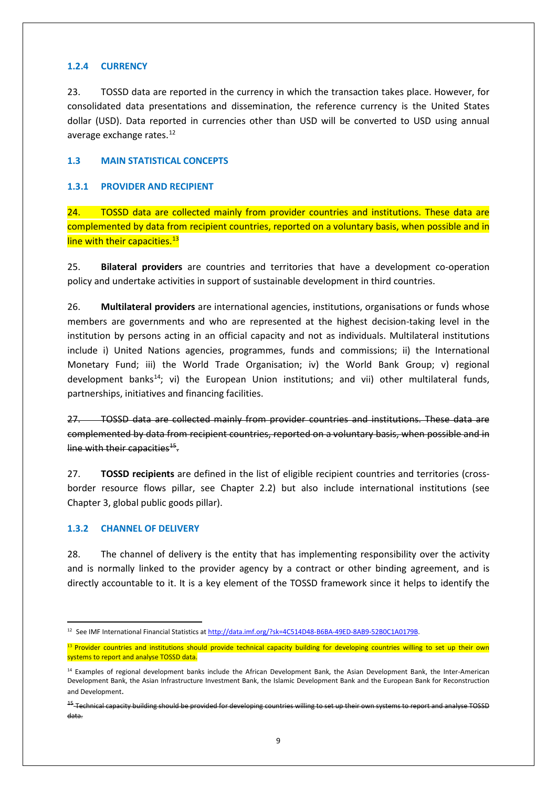#### **1.2.4 CURRENCY**

23. TOSSD data are reported in the currency in which the transaction takes place. However, for consolidated data presentations and dissemination, the reference currency is the United States dollar (USD). Data reported in currencies other than USD will be converted to USD using annual average exchange rates.<sup>[12](#page-8-0)</sup>

#### **1.3 MAIN STATISTICAL CONCEPTS**

#### **1.3.1 PROVIDER AND RECIPIENT**

24. TOSSD data are collected mainly from provider countries and institutions. These data are complemented by data from recipient countries, reported on a voluntary basis, when possible and in line with their capacities.<sup>[13](#page-8-1)</sup>

25. **Bilateral providers** are countries and territories that have a development co-operation policy and undertake activities in support of sustainable development in third countries.

26. **Multilateral providers** are international agencies, institutions, organisations or funds whose members are governments and who are represented at the highest decision-taking level in the institution by persons acting in an official capacity and not as individuals. Multilateral institutions include i) United Nations agencies, programmes, funds and commissions; ii) the International Monetary Fund; iii) the World Trade Organisation; iv) the World Bank Group; v) regional development banks<sup>14</sup>; vi) the European Union institutions; and vii) other multilateral funds, partnerships, initiatives and financing facilities.

27. TOSSD data are collected mainly from provider countries and institutions. These data are complemented by data from recipient countries, reported on a voluntary basis, when possible and in line with their capacities $45$ .

27. **TOSSD recipients** are defined in the list of eligible recipient countries and territories (crossborder resource flows pillar, see Chapter 2.2) but also include international institutions (see Chapter 3, global public goods pillar).

#### **1.3.2 CHANNEL OF DELIVERY**

28. The channel of delivery is the entity that has implementing responsibility over the activity and is normally linked to the provider agency by a contract or other binding agreement, and is directly accountable to it. It is a key element of the TOSSD framework since it helps to identify the

<span id="page-8-0"></span><sup>&</sup>lt;sup>12</sup> See IMF International Financial Statistics a[t http://data.imf.org/?sk=4C514D48-B6BA-49ED-8AB9-52B0C1A0179B.](http://data.imf.org/?sk=4C514D48-B6BA-49ED-8AB9-52B0C1A0179B)

<span id="page-8-1"></span><sup>&</sup>lt;sup>13</sup> Provider countries and institutions should provide technical capacity building for developing countries willing to set up their own systems to report and analyse TOSSD data.

<span id="page-8-2"></span><sup>&</sup>lt;sup>14</sup> Examples of regional development banks include the African Development Bank, the Asian Development Bank, the Inter-American Development Bank, the Asian Infrastructure Investment Bank, the Islamic Development Bank and the European Bank for Reconstruction and Development.

<span id="page-8-3"></span><sup>&</sup>lt;sup>15</sup>-Technical capacity building should be provided for developing countries willing to set up their own systems to report and analyse TOSSD data.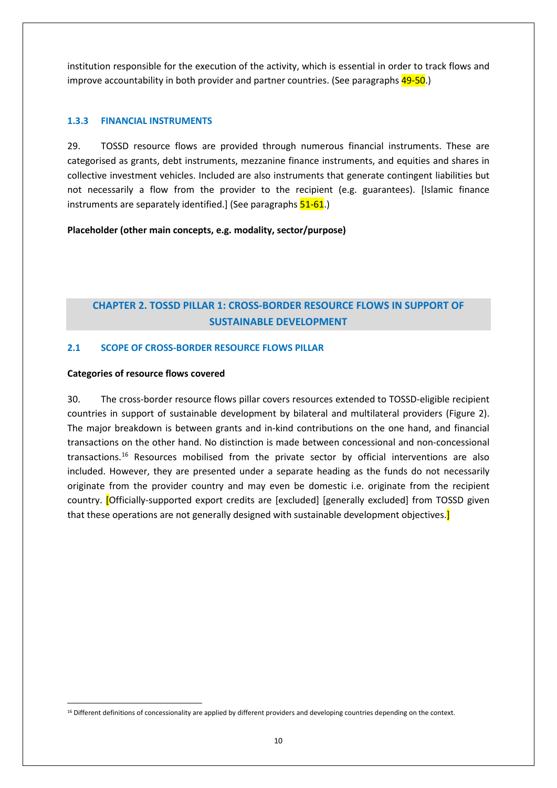institution responsible for the execution of the activity, which is essential in order to track flows and improve accountability in both provider and partner countries. (See paragraphs 49-50.)

#### **1.3.3 FINANCIAL INSTRUMENTS**

29. TOSSD resource flows are provided through numerous financial instruments. These are categorised as grants, debt instruments, mezzanine finance instruments, and equities and shares in collective investment vehicles. Included are also instruments that generate contingent liabilities but not necessarily a flow from the provider to the recipient (e.g. guarantees). [Islamic finance instruments are separately identified.] (See paragraphs 51-61.)

**Placeholder (other main concepts, e.g. modality, sector/purpose)**

# **CHAPTER 2. TOSSD PILLAR 1: CROSS-BORDER RESOURCE FLOWS IN SUPPORT OF SUSTAINABLE DEVELOPMENT**

#### **2.1 SCOPE OF CROSS-BORDER RESOURCE FLOWS PILLAR**

#### **Categories of resource flows covered**

30. The cross-border resource flows pillar covers resources extended to TOSSD-eligible recipient countries in support of sustainable development by bilateral and multilateral providers (Figure 2). The major breakdown is between grants and in-kind contributions on the one hand, and financial transactions on the other hand. No distinction is made between concessional and non-concessional transactions.[16](#page-9-0) Resources mobilised from the private sector by official interventions are also included. However, they are presented under a separate heading as the funds do not necessarily originate from the provider country and may even be domestic i.e. originate from the recipient country. [Officially-supported export credits are [excluded] [generally excluded] from TOSSD given that these operations are not generally designed with sustainable development objectives.]

<span id="page-9-0"></span><sup>&</sup>lt;sup>16</sup> Different definitions of concessionality are applied by different providers and developing countries depending on the context.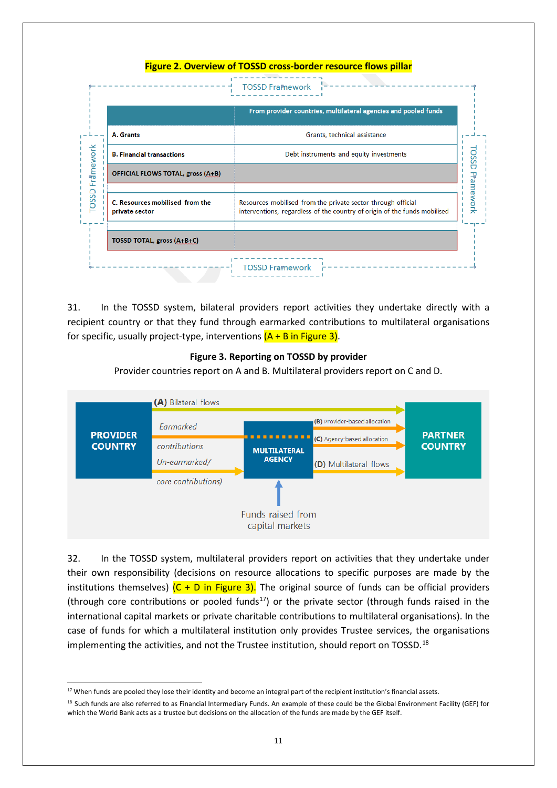## **Figure 2. Overview of TOSSD cross-border resource flows pillar TOSSD Framework** From provider countries, multilateral agencies and pooled funds A. Grants Grants, technical assistance Framework **TOSSD Pramework B. Financial transactions** Debt instruments and equity investments **OFFICIAL FLOWS TOTAL, gross (A+B)** TOSSD C. Resources mobilised from the Resources mobilised from the private sector through official interventions, regardless of the country of origin of the funds mobilised private sector TOSSD TOTAL, gross (A+B+C) **TOSSD Framework**

31. In the TOSSD system, bilateral providers report activities they undertake directly with a recipient country or that they fund through earmarked contributions to multilateral organisations for specific, usually project-type, interventions  $(A + B \text{ in Figure 3}).$ 

#### **Figure 3. Reporting on TOSSD by provider**

Provider countries report on A and B. Multilateral providers report on C and D.



32. In the TOSSD system, multilateral providers report on activities that they undertake under their own responsibility (decisions on resource allocations to specific purposes are made by the institutions themselves)  $(C + D)$  in Figure 3). The original source of funds can be official providers (through core contributions or pooled funds<sup>17</sup>) or the private sector (through funds raised in the international capital markets or private charitable contributions to multilateral organisations). In the case of funds for which a multilateral institution only provides Trustee services, the organisations implementing the activities, and not the Trustee institution, should report on TOSSD.<sup>[18](#page-10-1)</sup>

<span id="page-10-0"></span><sup>&</sup>lt;sup>17</sup> When funds are pooled they lose their identity and become an integral part of the recipient institution's financial assets.

<span id="page-10-1"></span><sup>18</sup> Such funds are also referred to as Financial Intermediary Funds. An example of these could be the Global Environment Facility (GEF) for which the World Bank acts as a trustee but decisions on the allocation of the funds are made by the GEF itself.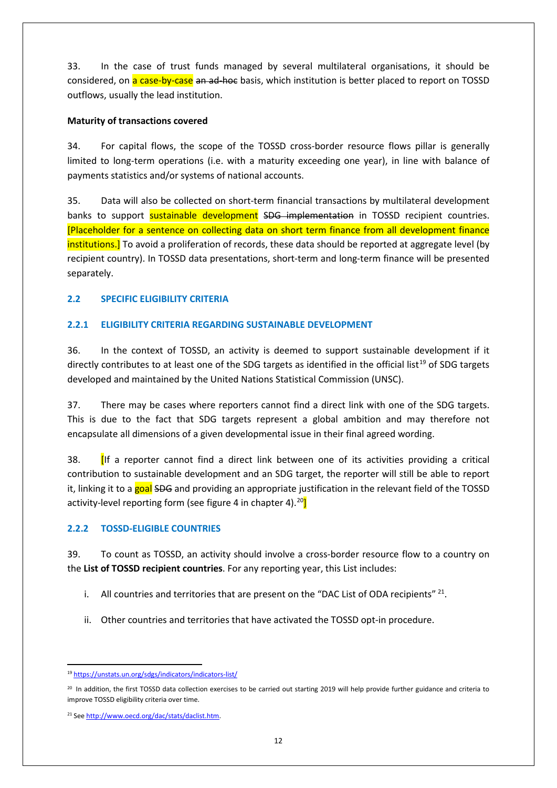33. In the case of trust funds managed by several multilateral organisations, it should be considered, on a case-by-case an ad-hoc basis, which institution is better placed to report on TOSSD outflows, usually the lead institution.

#### **Maturity of transactions covered**

34. For capital flows, the scope of the TOSSD cross-border resource flows pillar is generally limited to long-term operations (i.e. with a maturity exceeding one year), in line with balance of payments statistics and/or systems of national accounts.

35. Data will also be collected on short-term financial transactions by multilateral development banks to support sustainable development SDG implementation in TOSSD recipient countries. [Placeholder for a sentence on collecting data on short term finance from all development finance institutions.] To avoid a proliferation of records, these data should be reported at aggregate level (by recipient country). In TOSSD data presentations, short-term and long-term finance will be presented separately.

## **2.2 SPECIFIC ELIGIBILITY CRITERIA**

## **2.2.1 ELIGIBILITY CRITERIA REGARDING SUSTAINABLE DEVELOPMENT**

36. In the context of TOSSD, an activity is deemed to support sustainable development if it directly contributes to at least one of the SDG targets as identified in the official list<sup>[19](#page-11-0)</sup> of SDG targets developed and maintained by the United Nations Statistical Commission (UNSC).

37. There may be cases where reporters cannot find a direct link with one of the SDG targets. This is due to the fact that SDG targets represent a global ambition and may therefore not encapsulate all dimensions of a given developmental issue in their final agreed wording.

38. [If a reporter cannot find a direct link between one of its activities providing a critical contribution to sustainable development and an SDG target, the reporter will still be able to report it, linking it to a goal SDG and providing an appropriate justification in the relevant field of the TOSSD activity-level reporting form (see figure 4 in chapter 4).  $20$ ]

#### **2.2.2 TOSSD-ELIGIBLE COUNTRIES**

39. To count as TOSSD, an activity should involve a cross-border resource flow to a country on the **List of TOSSD recipient countries**. For any reporting year, this List includes:

- i. All countries and territories that are present on the "DAC List of ODA recipients"  $^{21}$  $^{21}$  $^{21}$ .
- ii. Other countries and territories that have activated the TOSSD opt-in procedure.

<span id="page-11-0"></span> <sup>19</sup> <https://unstats.un.org/sdgs/indicators/indicators-list/>

<span id="page-11-1"></span><sup>&</sup>lt;sup>20</sup> In addition, the first TOSSD data collection exercises to be carried out starting 2019 will help provide further guidance and criteria to improve TOSSD eligibility criteria over time.

<span id="page-11-2"></span><sup>21</sup> Se[e http://www.oecd.org/dac/stats/daclist.htm.](http://www.oecd.org/dac/stats/daclist.htm)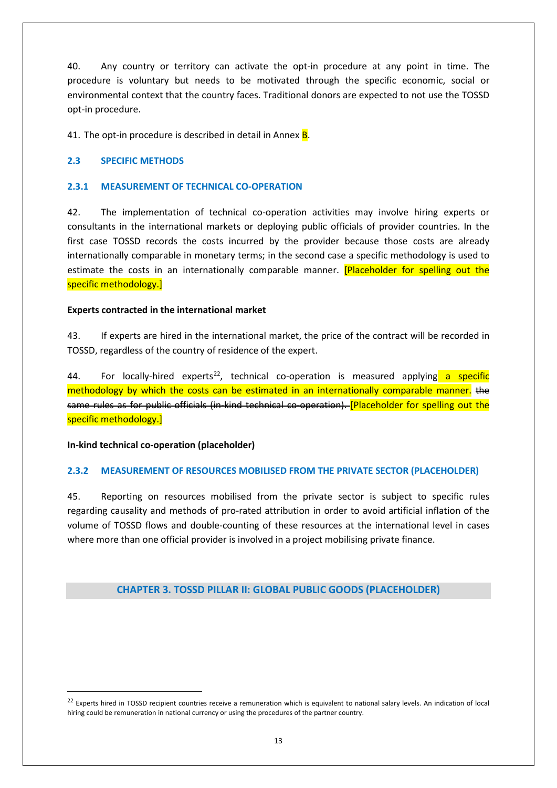40. Any country or territory can activate the opt-in procedure at any point in time. The procedure is voluntary but needs to be motivated through the specific economic, social or environmental context that the country faces. Traditional donors are expected to not use the TOSSD opt-in procedure.

41. The opt-in procedure is described in detail in Annex **B**.

#### **2.3 SPECIFIC METHODS**

#### **2.3.1 MEASUREMENT OF TECHNICAL CO-OPERATION**

42. The implementation of technical co-operation activities may involve hiring experts or consultants in the international markets or deploying public officials of provider countries. In the first case TOSSD records the costs incurred by the provider because those costs are already internationally comparable in monetary terms; in the second case a specific methodology is used to estimate the costs in an internationally comparable manner. [Placeholder for spelling out the specific methodology.]

#### **Experts contracted in the international market**

43. If experts are hired in the international market, the price of the contract will be recorded in TOSSD, regardless of the country of residence of the expert.

44. For locally-hired experts<sup>[22](#page-12-0)</sup>, technical co-operation is measured applying a specific methodology by which the costs can be estimated in an internationally comparable manner. the same rules as for public officials (in kind technical co-operation). [Placeholder for spelling out the specific methodology.]

**In-kind technical co-operation (placeholder)**

#### **2.3.2 MEASUREMENT OF RESOURCES MOBILISED FROM THE PRIVATE SECTOR (PLACEHOLDER)**

45. Reporting on resources mobilised from the private sector is subject to specific rules regarding causality and methods of pro-rated attribution in order to avoid artificial inflation of the volume of TOSSD flows and double-counting of these resources at the international level in cases where more than one official provider is involved in a project mobilising private finance.

## **CHAPTER 3. TOSSD PILLAR II: GLOBAL PUBLIC GOODS (PLACEHOLDER)**

<span id="page-12-0"></span><sup>&</sup>lt;sup>22</sup> Experts hired in TOSSD recipient countries receive a remuneration which is equivalent to national salary levels. An indication of local hiring could be remuneration in national currency or using the procedures of the partner country.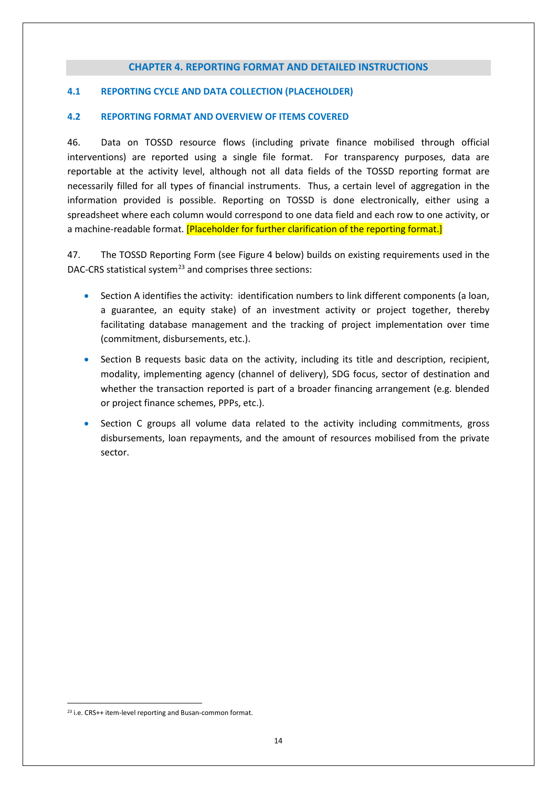#### **CHAPTER 4. REPORTING FORMAT AND DETAILED INSTRUCTIONS**

#### **4.1 REPORTING CYCLE AND DATA COLLECTION (PLACEHOLDER)**

#### **4.2 REPORTING FORMAT AND OVERVIEW OF ITEMS COVERED**

46. Data on TOSSD resource flows (including private finance mobilised through official interventions) are reported using a single file format. For transparency purposes, data are reportable at the activity level, although not all data fields of the TOSSD reporting format are necessarily filled for all types of financial instruments. Thus, a certain level of aggregation in the information provided is possible. Reporting on TOSSD is done electronically, either using a spreadsheet where each column would correspond to one data field and each row to one activity, or a machine-readable format. [Placeholder for further clarification of the reporting format.]

47. The TOSSD Reporting Form (see Figure 4 below) builds on existing requirements used in the DAC-CRS statistical system<sup>[23](#page-13-0)</sup> and comprises three sections:

- Section A identifies the activity: identification numbers to link different components (a loan, a guarantee, an equity stake) of an investment activity or project together, thereby facilitating database management and the tracking of project implementation over time (commitment, disbursements, etc.).
- Section B requests basic data on the activity, including its title and description, recipient, modality, implementing agency (channel of delivery), SDG focus, sector of destination and whether the transaction reported is part of a broader financing arrangement (e.g. blended or project finance schemes, PPPs, etc.).
- Section C groups all volume data related to the activity including commitments, gross disbursements, loan repayments, and the amount of resources mobilised from the private sector.

<span id="page-13-0"></span><sup>&</sup>lt;sup>23</sup> i.e. CRS++ item-level reporting and Busan-common format.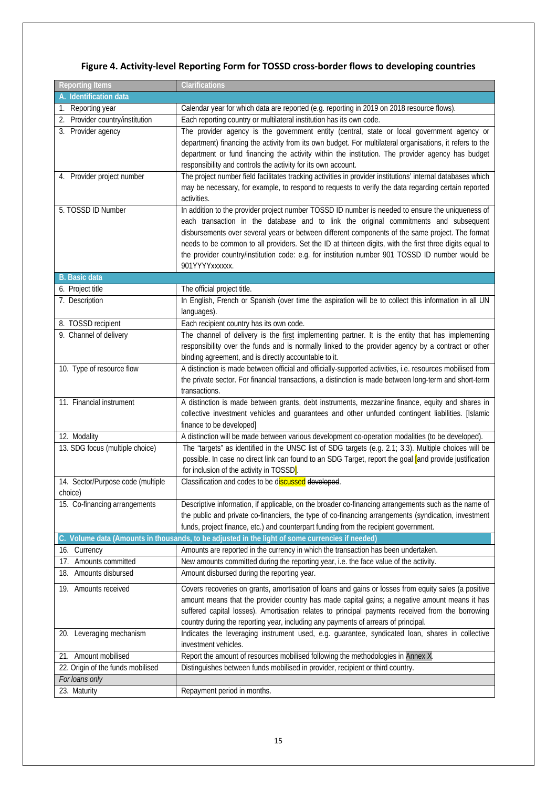# **Figure 4. Activity-level Reporting Form for TOSSD cross-border flows to developing countries**

| <b>Reporting Items</b>            | Clarifications                                                                                              |
|-----------------------------------|-------------------------------------------------------------------------------------------------------------|
| A. Identification data            |                                                                                                             |
| 1. Reporting year                 | Calendar year for which data are reported (e.g. reporting in 2019 on 2018 resource flows).                  |
| 2. Provider country/institution   | Each reporting country or multilateral institution has its own code.                                        |
| 3. Provider agency                | The provider agency is the government entity (central, state or local government agency or                  |
|                                   | department) financing the activity from its own budget. For multilateral organisations, it refers to the    |
|                                   | department or fund financing the activity within the institution. The provider agency has budget            |
|                                   | responsibility and controls the activity for its own account.                                               |
| 4. Provider project number        | The project number field facilitates tracking activities in provider institutions' internal databases which |
|                                   | may be necessary, for example, to respond to requests to verify the data regarding certain reported         |
|                                   | activities.                                                                                                 |
| 5. TOSSD ID Number                | In addition to the provider project number TOSSD ID number is needed to ensure the uniqueness of            |
|                                   | each transaction in the database and to link the original commitments and subsequent                        |
|                                   | disbursements over several years or between different components of the same project. The format            |
|                                   | needs to be common to all providers. Set the ID at thirteen digits, with the first three digits equal to    |
|                                   | the provider country/institution code: e.g. for institution number 901 TOSSD ID number would be             |
|                                   | 901YYYYxxxxxx.                                                                                              |
| <b>B.</b> Basic data              |                                                                                                             |
| 6. Project title                  | The official project title.                                                                                 |
| 7. Description                    | In English, French or Spanish (over time the aspiration will be to collect this information in all UN       |
|                                   | languages).                                                                                                 |
| 8. TOSSD recipient                | Each recipient country has its own code.                                                                    |
| 9. Channel of delivery            | The channel of delivery is the first implementing partner. It is the entity that has implementing           |
|                                   | responsibility over the funds and is normally linked to the provider agency by a contract or other          |
|                                   | binding agreement, and is directly accountable to it.                                                       |
| 10. Type of resource flow         | A distinction is made between official and officially-supported activities, i.e. resources mobilised from   |
|                                   | the private sector. For financial transactions, a distinction is made between long-term and short-term      |
|                                   | transactions.                                                                                               |
| 11. Financial instrument          | A distinction is made between grants, debt instruments, mezzanine finance, equity and shares in             |
|                                   | collective investment vehicles and guarantees and other unfunded contingent liabilities. [Islamic           |
|                                   | finance to be developed]                                                                                    |
| 12. Modality                      | A distinction will be made between various development co-operation modalities (to be developed).           |
| 13. SDG focus (multiple choice)   | The "targets" as identified in the UNSC list of SDG targets (e.g. 2.1; 3.3). Multiple choices will be       |
|                                   | possible. In case no direct link can found to an SDG Target, report the goal and provide justification      |
|                                   | for inclusion of the activity in TOSSD].                                                                    |
| 14. Sector/Purpose code (multiple | Classification and codes to be discussed developed.                                                         |
| choice)                           |                                                                                                             |
| 15. Co-financing arrangements     | Descriptive information, if applicable, on the broader co-financing arrangements such as the name of        |
|                                   | the public and private co-financiers, the type of co-financing arrangements (syndication, investment        |
|                                   | funds, project finance, etc.) and counterpart funding from the recipient government.                        |
|                                   | C. Volume data (Amounts in thousands, to be adjusted in the light of some currencies if needed)             |
| 16. Currency                      | Amounts are reported in the currency in which the transaction has been undertaken.                          |
| 17. Amounts committed             |                                                                                                             |
|                                   | New amounts committed during the reporting year, i.e. the face value of the activity.                       |
| 18. Amounts disbursed             | Amount disbursed during the reporting year.                                                                 |
| 19. Amounts received              | Covers recoveries on grants, amortisation of loans and gains or losses from equity sales (a positive        |
|                                   | amount means that the provider country has made capital gains; a negative amount means it has               |
|                                   | suffered capital losses). Amortisation relates to principal payments received from the borrowing            |
|                                   | country during the reporting year, including any payments of arrears of principal.                          |
| 20. Leveraging mechanism          | Indicates the leveraging instrument used, e.g. guarantee, syndicated loan, shares in collective             |
|                                   | investment vehicles.                                                                                        |
| 21. Amount mobilised              | Report the amount of resources mobilised following the methodologies in Annex X.                            |
| 22. Origin of the funds mobilised | Distinguishes between funds mobilised in provider, recipient or third country.                              |
| For loans only                    |                                                                                                             |
| 23. Maturity                      | Repayment period in months.                                                                                 |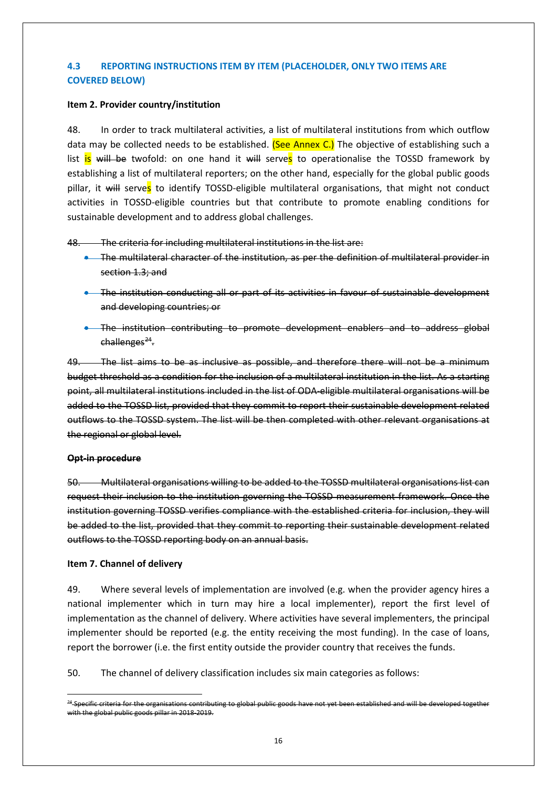## **4.3 REPORTING INSTRUCTIONS ITEM BY ITEM (PLACEHOLDER, ONLY TWO ITEMS ARE COVERED BELOW)**

#### **Item 2. Provider country/institution**

48. In order to track multilateral activities, a list of multilateral institutions from which outflow data may be collected needs to be established. (See Annex C.) The objective of establishing such a list  $\overline{is}$  will be twofold: on one hand it will serves to operationalise the TOSSD framework by establishing a list of multilateral reporters; on the other hand, especially for the global public goods pillar, it will serves to identify TOSSD-eligible multilateral organisations, that might not conduct activities in TOSSD-eligible countries but that contribute to promote enabling conditions for sustainable development and to address global challenges.

48. The criteria for including multilateral institutions in the list are:

- The multilateral character of the institution, as per the definition of multilateral provider in section 1.3; and
- The institution conducting all or part of its activities in favour of sustainable development and developing countries; or
- The institution contributing to promote development enablers and to address global  $chall$ enges<sup>[24](#page-15-0)</sup>.

49. The list aims to be as inclusive as possible, and therefore there will not be a minimum budget threshold as a condition for the inclusion of a multilateral institution in the list. As a starting point, all multilateral institutions included in the list of ODA-eligible multilateral organisations will be added to the TOSSD list, provided that they commit to report their sustainable development related outflows to the TOSSD system. The list will be then completed with other relevant organisations at the regional or global level.

#### **Opt-in procedure**

50. Multilateral organisations willing to be added to the TOSSD multilateral organisations list can request their inclusion to the institution governing the TOSSD measurement framework. Once the institution governing TOSSD verifies compliance with the established criteria for inclusion, they will be added to the list, provided that they commit to reporting their sustainable development related outflows to the TOSSD reporting body on an annual basis.

#### **Item 7. Channel of delivery**

49. Where several levels of implementation are involved (e.g. when the provider agency hires a national implementer which in turn may hire a local implementer), report the first level of implementation as the channel of delivery. Where activities have several implementers, the principal implementer should be reported (e.g. the entity receiving the most funding). In the case of loans, report the borrower (i.e. the first entity outside the provider country that receives the funds.

50. The channel of delivery classification includes six main categories as follows:

<span id="page-15-0"></span><sup>&</sup>lt;sup>24</sup> Specific criteria for the organisations contributing to global public goods have not yet been established and will be developed together with the global public goods pillar in 2018-2019.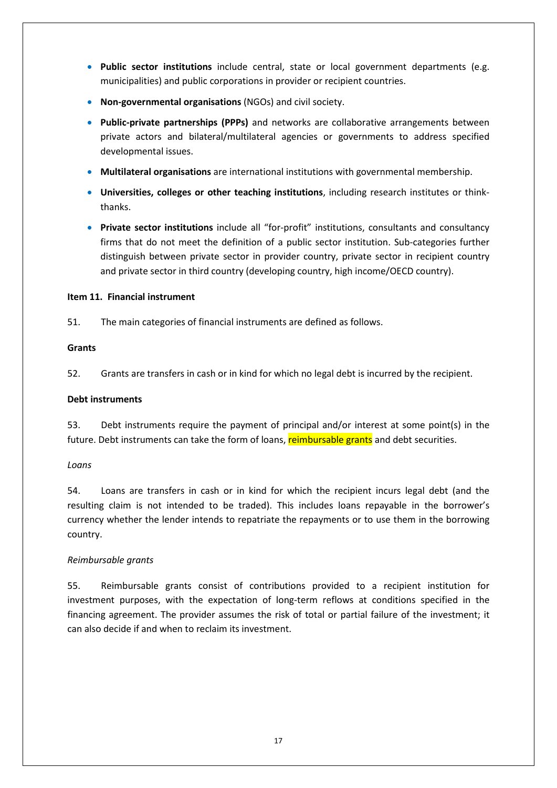- **Public sector institutions** include central, state or local government departments (e.g. municipalities) and public corporations in provider or recipient countries.
- **Non-governmental organisations** (NGOs) and civil society.
- **Public-private partnerships (PPPs)** and networks are collaborative arrangements between private actors and bilateral/multilateral agencies or governments to address specified developmental issues.
- **Multilateral organisations** are international institutions with governmental membership.
- **Universities, colleges or other teaching institutions**, including research institutes or thinkthanks.
- **Private sector institutions** include all "for-profit" institutions, consultants and consultancy firms that do not meet the definition of a public sector institution. Sub-categories further distinguish between private sector in provider country, private sector in recipient country and private sector in third country (developing country, high income/OECD country).

#### **Item 11. Financial instrument**

51. The main categories of financial instruments are defined as follows.

#### **Grants**

52. Grants are transfers in cash or in kind for which no legal debt is incurred by the recipient.

#### **Debt instruments**

53. Debt instruments require the payment of principal and/or interest at some point(s) in the future. Debt instruments can take the form of loans, reimbursable grants and debt securities.

#### *Loans*

54. Loans are transfers in cash or in kind for which the recipient incurs legal debt (and the resulting claim is not intended to be traded). This includes loans repayable in the borrower's currency whether the lender intends to repatriate the repayments or to use them in the borrowing country.

#### *Reimbursable grants*

55. Reimbursable grants consist of contributions provided to a recipient institution for investment purposes, with the expectation of long-term reflows at conditions specified in the financing agreement. The provider assumes the risk of total or partial failure of the investment; it can also decide if and when to reclaim its investment.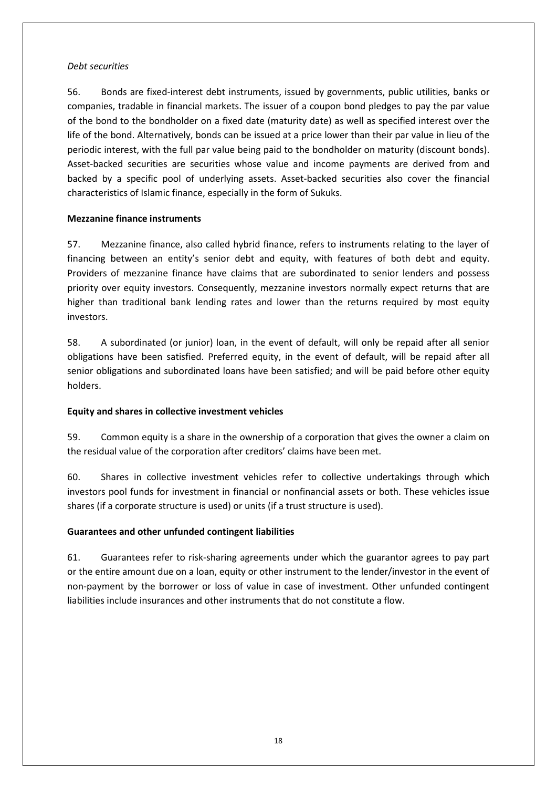#### *Debt securities*

56. Bonds are fixed-interest debt instruments, issued by governments, public utilities, banks or companies, tradable in financial markets. The issuer of a coupon bond pledges to pay the par value of the bond to the bondholder on a fixed date (maturity date) as well as specified interest over the life of the bond. Alternatively, bonds can be issued at a price lower than their par value in lieu of the periodic interest, with the full par value being paid to the bondholder on maturity (discount bonds). Asset-backed securities are securities whose value and income payments are derived from and backed by a specific pool of underlying assets. Asset-backed securities also cover the financial characteristics of Islamic finance, especially in the form of Sukuks.

#### **Mezzanine finance instruments**

57. Mezzanine finance, also called hybrid finance, refers to instruments relating to the layer of financing between an entity's senior debt and equity, with features of both debt and equity. Providers of mezzanine finance have claims that are subordinated to senior lenders and possess priority over equity investors. Consequently, mezzanine investors normally expect returns that are higher than traditional bank lending rates and lower than the returns required by most equity investors.

58. A subordinated (or junior) loan, in the event of default, will only be repaid after all senior obligations have been satisfied. Preferred equity, in the event of default, will be repaid after all senior obligations and subordinated loans have been satisfied; and will be paid before other equity holders.

#### **Equity and shares in collective investment vehicles**

59. Common equity is a share in the ownership of a corporation that gives the owner a claim on the residual value of the corporation after creditors' claims have been met.

60. Shares in collective investment vehicles refer to collective undertakings through which investors pool funds for investment in financial or nonfinancial assets or both. These vehicles issue shares (if a corporate structure is used) or units (if a trust structure is used).

## **Guarantees and other unfunded contingent liabilities**

61. Guarantees refer to risk-sharing agreements under which the guarantor agrees to pay part or the entire amount due on a loan, equity or other instrument to the lender/investor in the event of non-payment by the borrower or loss of value in case of investment. Other unfunded contingent liabilities include insurances and other instruments that do not constitute a flow.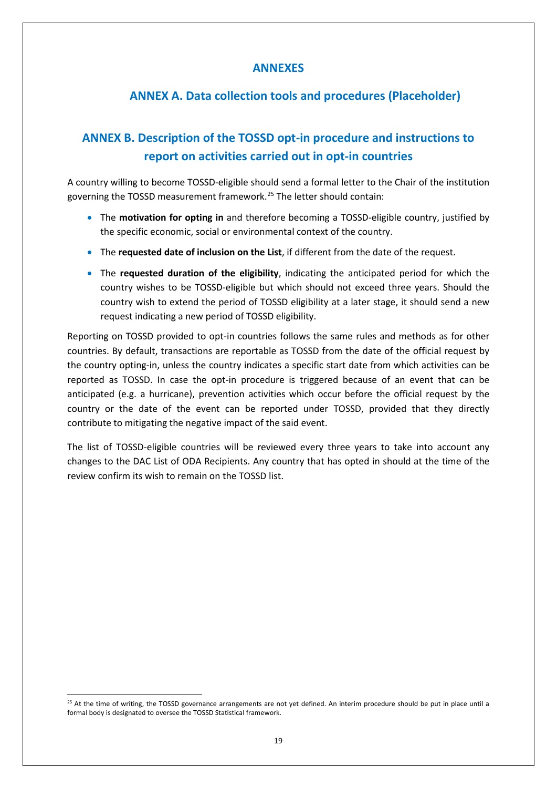## **ANNEXES**

# **ANNEX A. Data collection tools and procedures (Placeholder)**

# **ANNEX B. Description of the TOSSD opt-in procedure and instructions to report on activities carried out in opt-in countries**

A country willing to become TOSSD-eligible should send a formal letter to the Chair of the institution governing the TOSSD measurement framework.[25](#page-18-0) The letter should contain:

- The **motivation for opting in** and therefore becoming a TOSSD-eligible country, justified by the specific economic, social or environmental context of the country.
- The **requested date of inclusion on the List**, if different from the date of the request.
- The **requested duration of the eligibility**, indicating the anticipated period for which the country wishes to be TOSSD-eligible but which should not exceed three years. Should the country wish to extend the period of TOSSD eligibility at a later stage, it should send a new request indicating a new period of TOSSD eligibility.

Reporting on TOSSD provided to opt-in countries follows the same rules and methods as for other countries. By default, transactions are reportable as TOSSD from the date of the official request by the country opting-in, unless the country indicates a specific start date from which activities can be reported as TOSSD. In case the opt-in procedure is triggered because of an event that can be anticipated (e.g. a hurricane), prevention activities which occur before the official request by the country or the date of the event can be reported under TOSSD, provided that they directly contribute to mitigating the negative impact of the said event.

The list of TOSSD-eligible countries will be reviewed every three years to take into account any changes to the DAC List of ODA Recipients. Any country that has opted in should at the time of the review confirm its wish to remain on the TOSSD list.

<span id="page-18-0"></span> $25$  At the time of writing, the TOSSD governance arrangements are not yet defined. An interim procedure should be put in place until a formal body is designated to oversee the TOSSD Statistical framework.